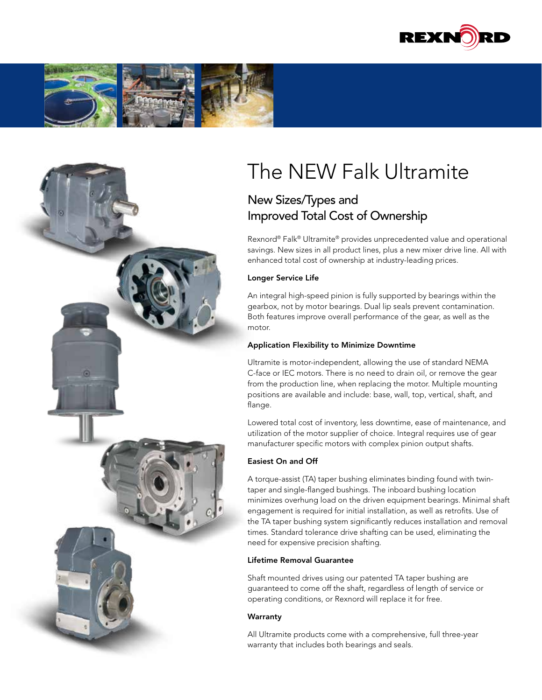





# The NEW Falk Ultramite

## New Sizes/Types and Improved Total Cost of Ownership

Rexnord® Falk® Ultramite® provides unprecedented value and operational savings. New sizes in all product lines, plus a new mixer drive line. All with enhanced total cost of ownership at industry-leading prices.

#### Longer Service Life

An integral high-speed pinion is fully supported by bearings within the gearbox, not by motor bearings. Dual lip seals prevent contamination. Both features improve overall performance of the gear, as well as the motor.

#### Application Flexibility to Minimize Downtime

Ultramite is motor-independent, allowing the use of standard NEMA C-face or IEC motors. There is no need to drain oil, or remove the gear from the production line, when replacing the motor. Multiple mounting positions are available and include: base, wall, top, vertical, shaft, and flange.

Lowered total cost of inventory, less downtime, ease of maintenance, and utilization of the motor supplier of choice. Integral requires use of gear manufacturer specific motors with complex pinion output shafts.

#### Easiest On and Off

A torque-assist (TA) taper bushing eliminates binding found with twintaper and single-flanged bushings. The inboard bushing location minimizes overhung load on the driven equipment bearings. Minimal shaft engagement is required for initial installation, as well as retrofits. Use of the TA taper bushing system significantly reduces installation and removal times. Standard tolerance drive shafting can be used, eliminating the need for expensive precision shafting.

#### Lifetime Removal Guarantee

Shaft mounted drives using our patented TA taper bushing are guaranteed to come off the shaft, regardless of length of service or operating conditions, or Rexnord will replace it for free.

#### **Warranty**

All Ultramite products come with a comprehensive, full three-year warranty that includes both bearings and seals.